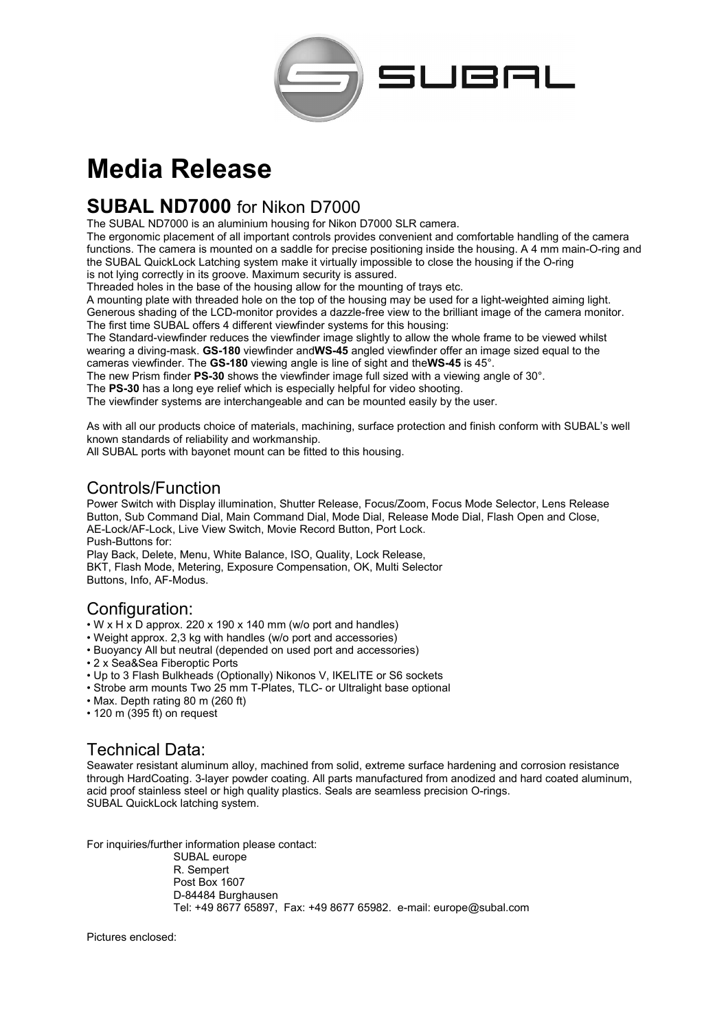

# **Media Release**

# **SUBAL ND7000** for Nikon D7000

The SUBAL ND7000 is an aluminium housing for Nikon D7000 SLR camera.

The ergonomic placement of all important controls provides convenient and comfortable handling of the camera functions. The camera is mounted on a saddle for precise positioning inside the housing. A 4 mm main-O-ring and the SUBAL QuickLock Latching system make it virtually impossible to close the housing if the O-ring is not lying correctly in its groove. Maximum security is assured.

Threaded holes in the base of the housing allow for the mounting of trays etc.

A mounting plate with threaded hole on the top of the housing may be used for a light-weighted aiming light. Generous shading of the LCD-monitor provides a dazzle-free view to the brilliant image of the camera monitor. The first time SUBAL offers 4 different viewfinder systems for this housing:

The Standard-viewfinder reduces the viewfinder image slightly to allow the whole frame to be viewed whilst wearing a diving-mask. **GS-180** viewfinder and**WS-45** angled viewfinder offer an image sized equal to the cameras viewfinder. The **GS-180** viewing angle is line of sight and the**WS-45** is 45°.

The new Prism finder **PS-30** shows the viewfinder image full sized with a viewing angle of 30°.

The **PS-30** has a long eye relief which is especially helpful for video shooting.

The viewfinder systems are interchangeable and can be mounted easily by the user.

As with all our products choice of materials, machining, surface protection and finish conform with SUBAL's well known standards of reliability and workmanship.

All SUBAL ports with bayonet mount can be fitted to this housing.

#### Controls/Function

Power Switch with Display illumination, Shutter Release, Focus/Zoom, Focus Mode Selector, Lens Release Button, Sub Command Dial, Main Command Dial, Mode Dial, Release Mode Dial, Flash Open and Close, AE-Lock/AF-Lock, Live View Switch, Movie Record Button, Port Lock. Push-Buttons for:

Play Back, Delete, Menu, White Balance, ISO, Quality, Lock Release, BKT, Flash Mode, Metering, Exposure Compensation, OK, Multi Selector Buttons, Info, AF-Modus.

## Configuration:

- $\cdot$  W x H x D approx. 220 x 190 x 140 mm (w/o port and handles)
- Weight approx. 2,3 kg with handles (w/o port and accessories)
- Buoyancy All but neutral (depended on used port and accessories)
- 2 x Sea&Sea Fiberoptic Ports
- Up to 3 Flash Bulkheads (Optionally) Nikonos V, IKELITE or S6 sockets
- Strobe arm mounts Two 25 mm T-Plates, TLC- or Ultralight base optional
- Max. Depth rating 80 m (260 ft)
- 120 m (395 ft) on request

## Technical Data:

Seawater resistant aluminum alloy, machined from solid, extreme surface hardening and corrosion resistance through HardCoating. 3-layer powder coating. All parts manufactured from anodized and hard coated aluminum, acid proof stainless steel or high quality plastics. Seals are seamless precision O-rings. SUBAL QuickLock latching system.

For inquiries/further information please contact:

SUBAL europe R. Sempert Post Box 1607 D-84484 Burghausen Tel: +49 8677 65897, Fax: +49 8677 65982. e-mail: europe@subal.com

Pictures enclosed: